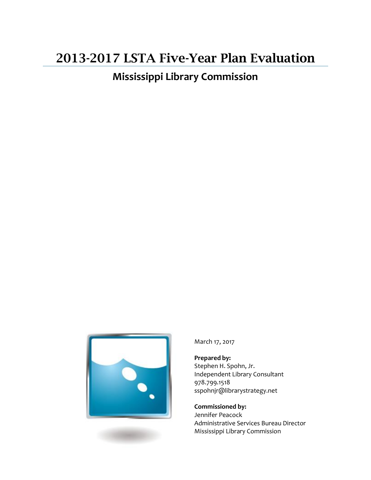# 2013-2017 LSTA Five-Year Plan Evaluation

**Mississippi Library Commission**



March 17, 2017

**Prepared by:** Stephen H. Spohn, Jr. Independent Library Consultant 978.799.1518 sspohnjr@librarystrategy.net

**Commissioned by:** Jennifer Peacock Administrative Services Bureau Director Mississippi Library Commission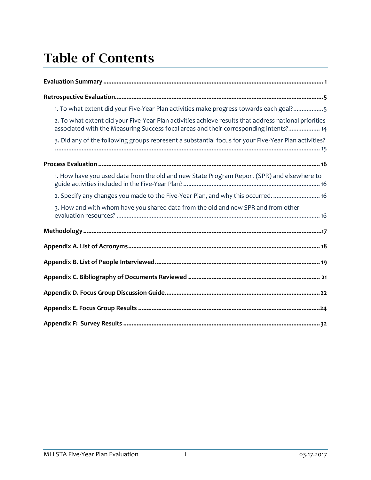# Table of Contents

| 1. To what extent did your Five-Year Plan activities make progress towards each goal?5                                                                                                         |
|------------------------------------------------------------------------------------------------------------------------------------------------------------------------------------------------|
| 2. To what extent did your Five-Year Plan activities achieve results that address national priorities<br>associated with the Measuring Success focal areas and their corresponding intents? 14 |
| 3. Did any of the following groups represent a substantial focus for your Five-Year Plan activities?                                                                                           |
|                                                                                                                                                                                                |
| 1. How have you used data from the old and new State Program Report (SPR) and elsewhere to                                                                                                     |
| 2. Specify any changes you made to the Five-Year Plan, and why this occurred 16                                                                                                                |
| 3. How and with whom have you shared data from the old and new SPR and from other                                                                                                              |
|                                                                                                                                                                                                |
|                                                                                                                                                                                                |
|                                                                                                                                                                                                |
|                                                                                                                                                                                                |
|                                                                                                                                                                                                |
|                                                                                                                                                                                                |
|                                                                                                                                                                                                |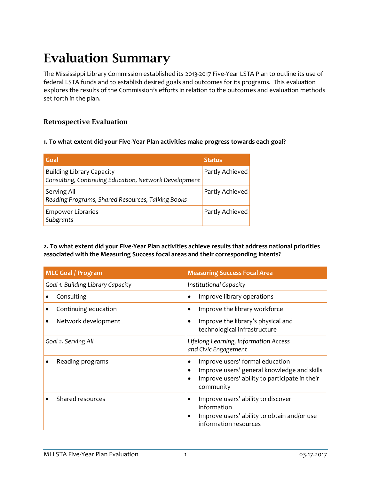# Evaluation Summary

The Mississippi Library Commission established its 2013-2017 Five-Year LSTA Plan to outline its use of federal LSTA funds and to establish desired goals and outcomes for its programs. This evaluation explores the results of the Commission's efforts in relation to the outcomes and evaluation methods set forth in the plan.

### Retrospective Evaluation

#### **1. To what extent did your Five-Year Plan activities make progress towards each goal?**

| Goal                                                                                      | <b>Status</b>   |
|-------------------------------------------------------------------------------------------|-----------------|
| <b>Building Library Capacity</b><br>Consulting, Continuing Education, Network Development | Partly Achieved |
| Serving All<br>Reading Programs, Shared Resources, Talking Books                          | Partly Achieved |
| <b>Empower Libraries</b><br>Subgrants                                                     | Partly Achieved |

**2. To what extent did your Five-Year Plan activities achieve results that address national priorities associated with the Measuring Success focal areas and their corresponding intents?**

| <b>MLC Goal / Program</b>         | <b>Measuring Success Focal Area</b>                                                                                                                             |
|-----------------------------------|-----------------------------------------------------------------------------------------------------------------------------------------------------------------|
| Goal 1. Building Library Capacity | Institutional Capacity                                                                                                                                          |
| Consulting                        | Improve library operations<br>$\bullet$                                                                                                                         |
| Continuing education              | Improve the library workforce<br>$\bullet$                                                                                                                      |
| Network development               | Improve the library's physical and<br>$\bullet$<br>technological infrastructure                                                                                 |
| Goal 2. Serving All               | Lifelong Learning, Information Access<br>and Civic Engagement                                                                                                   |
| Reading programs                  | Improve users' formal education<br>$\bullet$<br>Improve users' general knowledge and skills<br>٠<br>Improve users' ability to participate in their<br>community |
| Shared resources                  | Improve users' ability to discover<br>$\bullet$<br>information<br>Improve users' ability to obtain and/or use<br>information resources                          |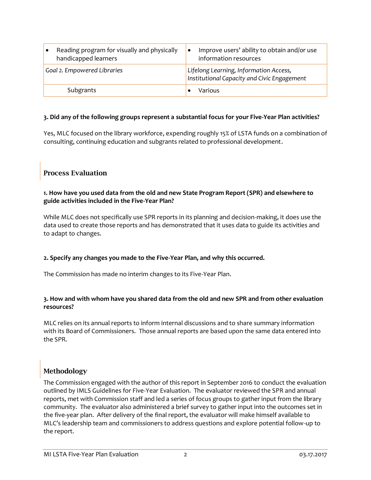| Reading program for visually and physically<br>handicapped learners | Improve users' ability to obtain and/or use<br>information resources                  |
|---------------------------------------------------------------------|---------------------------------------------------------------------------------------|
| Goal 2. Empowered Libraries                                         | Lifelong Learning, Information Access,<br>Institutional Capacity and Civic Engagement |
| Subgrants                                                           | Various                                                                               |

### **3. Did any of the following groups represent a substantial focus for your Five-Year Plan activities?**

Yes, MLC focused on the library workforce, expending roughly 15% of LSTA funds on a combination of consulting, continuing education and subgrants related to professional development.

### Process Evaluation

### **1. How have you used data from the old and new State Program Report (SPR) and elsewhere to guide activities included in the Five-Year Plan?**

While MLC does not specifically use SPR reports in its planning and decision-making, it does use the data used to create those reports and has demonstrated that it uses data to guide its activities and to adapt to changes.

### **2. Specify any changes you made to the Five-Year Plan, and why this occurred.**

The Commission has made no interim changes to its Five-Year Plan.

### **3. How and with whom have you shared data from the old and new SPR and from other evaluation resources?**

MLC relies on its annual reports to inform internal discussions and to share summary information with its Board of Commissioners. Those annual reports are based upon the same data entered into the SPR.

## Methodology

The Commission engaged with the author of this report in September 2016 to conduct the evaluation outlined by IMLS Guidelines for Five-Year Evaluation. The evaluator reviewed the SPR and annual reports, met with Commission staff and led a series of focus groups to gather input from the library community. The evaluator also administered a brief survey to gather input into the outcomes set in the five-year plan. After delivery of the final report, the evaluator will make himself available to MLC's leadership team and commissioners to address questions and explore potential follow-up to the report.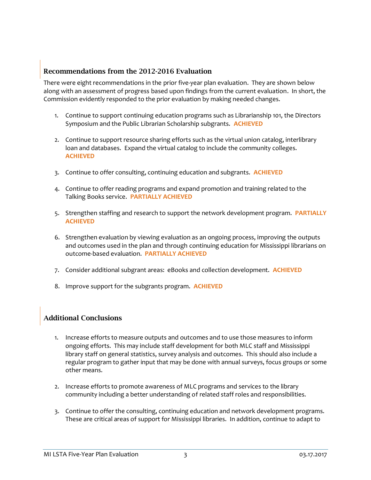### Recommendations from the 2012-2016 Evaluation

There were eight recommendations in the prior five-year plan evaluation. They are shown below along with an assessment of progress based upon findings from the current evaluation. In short, the Commission evidently responded to the prior evaluation by making needed changes.

- 1. Continue to support continuing education programs such as Librarianship 101, the Directors Symposium and the Public Librarian Scholarship subgrants. **ACHIEVED**
- 2. Continue to support resource sharing efforts such as the virtual union catalog, interlibrary loan and databases. Expand the virtual catalog to include the community colleges. **ACHIEVED**
- 3. Continue to offer consulting, continuing education and subgrants. **ACHIEVED**
- 4. Continue to offer reading programs and expand promotion and training related to the Talking Books service. **PARTIALLY ACHIEVED**
- 5. Strengthen staffing and research to support the network development program. **PARTIALLY ACHIEVED**
- 6. Strengthen evaluation by viewing evaluation as an ongoing process, improving the outputs and outcomes used in the plan and through continuing education for Mississippi librarians on outcome-based evaluation. **PARTIALLY ACHIEVED**
- 7. Consider additional subgrant areas: eBooks and collection development. **ACHIEVED**
- 8. Improve support for the subgrants program. **ACHIEVED**

## Additional Conclusions

- 1. Increase efforts to measure outputs and outcomes and to use those measures to inform ongoing efforts. This may include staff development for both MLC staff and Mississippi library staff on general statistics, survey analysis and outcomes. This should also include a regular program to gather input that may be done with annual surveys, focus groups or some other means.
- 2. Increase efforts to promote awareness of MLC programs and services to the library community including a better understanding of related staff roles and responsibilities.
- 3. Continue to offer the consulting, continuing education and network development programs. These are critical areas of support for Mississippi libraries. In addition, continue to adapt to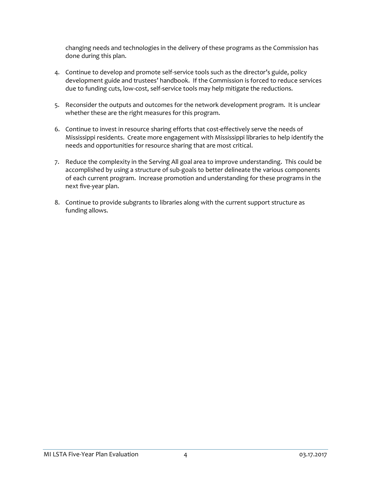changing needs and technologies in the delivery of these programs as the Commission has done during this plan.

- 4. Continue to develop and promote self-service tools such as the director's guide, policy development guide and trustees' handbook. If the Commission is forced to reduce services due to funding cuts, low-cost, self-service tools may help mitigate the reductions.
- 5. Reconsider the outputs and outcomes for the network development program. It is unclear whether these are the right measures for this program.
- 6. Continue to invest in resource sharing efforts that cost-effectively serve the needs of Mississippi residents. Create more engagement with Mississippi libraries to help identify the needs and opportunities for resource sharing that are most critical.
- 7. Reduce the complexity in the Serving All goal area to improve understanding. This could be accomplished by using a structure of sub-goals to better delineate the various components of each current program. Increase promotion and understanding for these programs in the next five-year plan.
- 8. Continue to provide subgrants to libraries along with the current support structure as funding allows.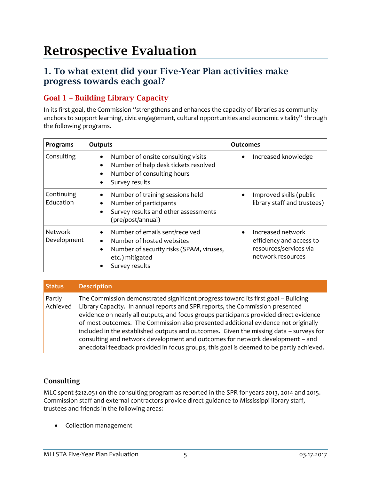# Retrospective Evaluation

## 1. To what extent did your Five-Year Plan activities make progress towards each goal?

## Goal 1 – Building Library Capacity

In its first goal, the Commission "strengthens and enhances the capacity of libraries as community anchors to support learning, civic engagement, cultural opportunities and economic vitality" through the following programs.

| Programs                      | Outputs                                                                                                                                                                        | Outcomes                                                                                     |
|-------------------------------|--------------------------------------------------------------------------------------------------------------------------------------------------------------------------------|----------------------------------------------------------------------------------------------|
| Consulting                    | Number of onsite consulting visits<br>$\bullet$<br>Number of help desk tickets resolved<br>$\bullet$<br>Number of consulting hours<br>$\bullet$<br>Survey results<br>$\bullet$ | Increased knowledge                                                                          |
| Continuing<br>Education       | Number of training sessions held<br>$\bullet$<br>Number of participants<br>$\bullet$<br>Survey results and other assessments<br>$\bullet$<br>(pre/post/annual)                 | Improved skills (public<br>library staff and trustees)                                       |
| <b>Network</b><br>Development | Number of emails sent/received<br>Number of hosted websites<br>$\bullet$<br>Number of security risks (SPAM, viruses,<br>$\bullet$<br>etc.) mitigated<br>Survey results         | Increased network<br>efficiency and access to<br>resources/services via<br>network resources |

#### **Status Description** Partly Achieved The Commission demonstrated significant progress toward its first goal – Building Library Capacity. In annual reports and SPR reports, the Commission presented evidence on nearly all outputs, and focus groups participants provided direct evidence of most outcomes. The Commission also presented additional evidence not originally included in the established outputs and outcomes. Given the missing data – surveys for consulting and network development and outcomes for network development – and anecdotal feedback provided in focus groups, this goal is deemed to be partly achieved.

## Consulting

MLC spent \$212,051 on the consulting program as reported in the SPR for years 2013, 2014 and 2015. Commission staff and external contractors provide direct guidance to Mississippi library staff, trustees and friends in the following areas:

• Collection management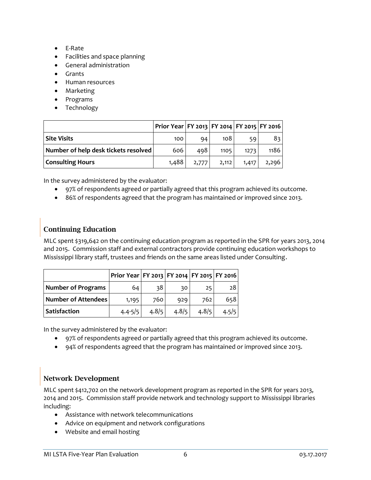- E-Rate
- Facilities and space planning
- General administration
- Grants
- Human resources
- Marketing
- Programs
- Technology

|                                      | Prior Year   FY 2013   FY 2014   FY 2015   FY 2016 |       |       |       |       |
|--------------------------------------|----------------------------------------------------|-------|-------|-------|-------|
| Site Visits                          | 100                                                | 94    | 108   | 59    | 83    |
| Number of help desk tickets resolved | 606                                                | 498   | 1105  | 1273  | 1186  |
| <b>Consulting Hours</b>              | 1,488                                              | 2,777 | 2,112 | 1,417 | 2,296 |

In the survey administered by the evaluator:

- 97% of respondents agreed or partially agreed that this program achieved its outcome.
- 86% of respondents agreed that the program has maintained or improved since 2013.

## Continuing Education

MLC spent \$319,642 on the continuing education program as reported in the SPR for years 2013, 2014 and 2015. Commission staff and external contractors provide continuing education workshops to Mississippi library staff, trustees and friends on the same areas listed under Consulting.

|                     | Prior Year   FY 2013   FY 2014   FY 2015   FY 2016 |       |       |       |       |
|---------------------|----------------------------------------------------|-------|-------|-------|-------|
| Number of Programs  | 64 I                                               | 38    | 30    | 25    | 28    |
| Number of Attendees | 1,195                                              | 760   | 929   | 762   | 658   |
| Satisfaction        | $4.4 - 5/5$                                        | 4.8/5 | 4.8/5 | 4.8/5 | 4.5/5 |

In the survey administered by the evaluator:

- 97% of respondents agreed or partially agreed that this program achieved its outcome.
- 94% of respondents agreed that the program has maintained or improved since 2013.

## Network Development

MLC spent \$412,702 on the network development program as reported in the SPR for years 2013, 2014 and 2015. Commission staff provide network and technology support to Mississippi libraries including:

- Assistance with network telecommunications
- Advice on equipment and network configurations
- Website and email hosting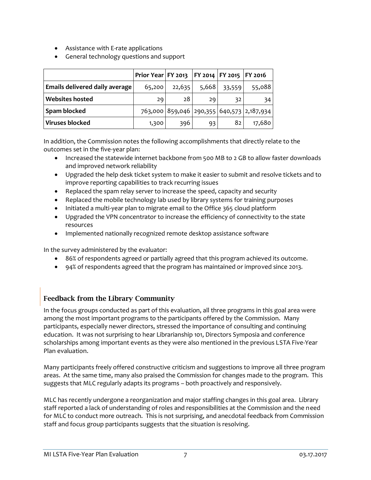- Assistance with E-rate applications
- General technology questions and support

|                                | Prior Year   FY 2013   FY 2014   FY 2015   FY 2016 |        |       |        |                                           |
|--------------------------------|----------------------------------------------------|--------|-------|--------|-------------------------------------------|
| Emails delivered daily average | 65,200                                             | 22,635 | 5,668 | 33,559 | 55,088                                    |
| <b>Websites hosted</b>         | 29                                                 | 28     | 29    | 32     | 34                                        |
| Spam blocked                   |                                                    |        |       |        | 763,000 859,046 290,355 640,573 2,187,934 |
| <b>Viruses blocked</b>         | 1,300                                              | 396    | 93    | 82     | 17,680                                    |

In addition, the Commission notes the following accomplishments that directly relate to the outcomes set in the five-year plan:

- Increased the statewide internet backbone from 500 MB to 2 GB to allow faster downloads and improved network reliability
- Upgraded the help desk ticket system to make it easier to submit and resolve tickets and to improve reporting capabilities to track recurring issues
- Replaced the spam relay server to increase the speed, capacity and security
- Replaced the mobile technology lab used by library systems for training purposes
- Initiated a multi-year plan to migrate email to the Office 365 cloud platform
- Upgraded the VPN concentrator to increase the efficiency of connectivity to the state resources
- Implemented nationally recognized remote desktop assistance software

In the survey administered by the evaluator:

- 86% of respondents agreed or partially agreed that this program achieved its outcome.
- 94% of respondents agreed that the program has maintained or improved since 2013.

## Feedback from the Library Community

In the focus groups conducted as part of this evaluation, all three programs in this goal area were among the most important programs to the participants offered by the Commission. Many participants, especially newer directors, stressed the importance of consulting and continuing education. It was not surprising to hear Librarianship 101, Directors Symposia and conference scholarships among important events as they were also mentioned in the previous LSTA Five-Year Plan evaluation.

Many participants freely offered constructive criticism and suggestions to improve all three program areas. At the same time, many also praised the Commission for changes made to the program. This suggests that MLC regularly adapts its programs – both proactively and responsively.

MLC has recently undergone a reorganization and major staffing changes in this goal area. Library staff reported a lack of understanding of roles and responsibilities at the Commission and the need for MLC to conduct more outreach. This is not surprising, and anecdotal feedback from Commission staff and focus group participants suggests that the situation is resolving.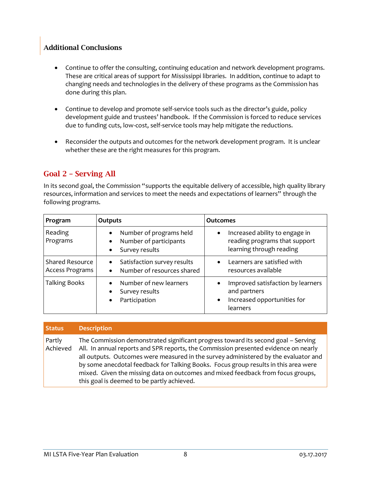## Additional Conclusions

- Continue to offer the consulting, continuing education and network development programs. These are critical areas of support for Mississippi libraries. In addition, continue to adapt to changing needs and technologies in the delivery of these programs as the Commission has done during this plan.
- Continue to develop and promote self-service tools such as the director's guide, policy development guide and trustees' handbook. If the Commission is forced to reduce services due to funding cuts, low-cost, self-service tools may help mitigate the reductions.
- Reconsider the outputs and outcomes for the network development program. It is unclear whether these are the right measures for this program.

## Goal 2 – Serving All

In its second goal, the Commission "supports the equitable delivery of accessible, high quality library resources, information and services to meet the needs and expectations of learners" through the following programs.

| Program                                   | Outputs                                                                                                    | <b>Outcomes</b>                                                                                           |
|-------------------------------------------|------------------------------------------------------------------------------------------------------------|-----------------------------------------------------------------------------------------------------------|
| Reading<br>Programs                       | Number of programs held<br>$\bullet$<br>Number of participants<br>$\bullet$<br>Survey results<br>$\bullet$ | Increased ability to engage in<br>reading programs that support<br>learning through reading               |
| <b>Shared Resource</b><br>Access Programs | Satisfaction survey results<br>$\bullet$<br>Number of resources shared<br>$\bullet$                        | Learners are satisfied with<br>resources available                                                        |
| <b>Talking Books</b>                      | Number of new learners<br>$\bullet$<br>Survey results<br>$\bullet$<br>Participation<br>$\bullet$           | Improved satisfaction by learners<br>and partners<br>Increased opportunities for<br>$\bullet$<br>learners |

| <b>Status</b>      | <b>Description</b>                                                                                                                                                                                                                                                                                                                                                                                                                                                                      |
|--------------------|-----------------------------------------------------------------------------------------------------------------------------------------------------------------------------------------------------------------------------------------------------------------------------------------------------------------------------------------------------------------------------------------------------------------------------------------------------------------------------------------|
| Partly<br>Achieved | The Commission demonstrated significant progress toward its second goal - Serving<br>All. In annual reports and SPR reports, the Commission presented evidence on nearly<br>all outputs. Outcomes were measured in the survey administered by the evaluator and<br>by some anecdotal feedback for Talking Books. Focus group results in this area were<br>mixed. Given the missing data on outcomes and mixed feedback from focus groups,<br>this goal is deemed to be partly achieved. |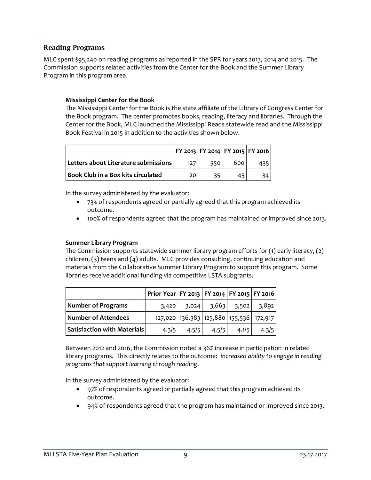### Reading Programs

MLC spent \$95,240 on reading programs as reported in the SPR for years 2013, 2014 and 2015. The Commission supports related activities from the Center for the Book and the Summer Library Program in this program area.

### **Mississippi Center for the Book**

The Mississippi Center for the Book is the state affiliate of the Library of Congress Center for the Book program. The center promotes books, reading, literacy and libraries. Through the Center for the Book, MLC launched the Mississippi Reads statewide read and the Mississippi Book Festival in 2015 in addition to the activities shown below.

|                                      |     |     |     | FY 2013   FY 2014   FY 2015   FY 2016 |
|--------------------------------------|-----|-----|-----|---------------------------------------|
| Letters about Literature submissions | 127 | 550 | 600 |                                       |
| Book Club in a Box kits circulated   | 20  | 35. | 45  |                                       |

In the survey administered by the evaluator:

- 73% of respondents agreed or partially agreed that this program achieved its outcome.
- 100% of respondents agreed that the program has maintained or improved since 2013.

### **Summer Library Program**

The Commission supports statewide summer library program efforts for (1) early literacy, (2) children, (3) teens and (4) adults. MLC provides consulting, continuing education and materials from the Collaborative Summer Library Program to support this program. Some libraries receive additional funding via competitive LSTA subgrants.

|                                           | Prior Year   FY 2013   FY 2014   FY 2015   FY 2016 |       |                         |                 |                                         |
|-------------------------------------------|----------------------------------------------------|-------|-------------------------|-----------------|-----------------------------------------|
| Number of Programs                        | 3,420                                              |       | $3,024$ $3,663$ $3,502$ |                 | 3,892                                   |
| Number of Attendees                       |                                                    |       |                         |                 | 127,020 136,383 125,880 155,536 172,917 |
| $\mid$ Satisfaction with Materials $\mid$ | 4.3/5                                              | 4.5/5 |                         | $4.5/5$ $4.1/5$ | 4.3/5                                   |

Between 2012 and 2016, the Commission noted a 36% increase in participation in related library programs. This directly relates to the outcome: *increased ability to engage in reading programs that support learning through reading*.

In the survey administered by the evaluator:

- 97% of respondents agreed or partially agreed that this program achieved its outcome.
- 94% of respondents agreed that the program has maintained or improved since 2013.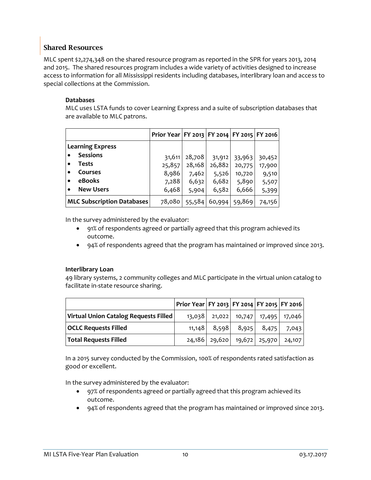### Shared Resources

MLC spent \$2,274,348 on the shared resource program as reported in the SPR for years 2013, 2014 and 2015. The shared resources program includes a wide variety of activities designed to increase access to information for all Mississippi residents including databases, interlibrary loan and access to special collections at the Commission.

### **Databases**

MLC uses LSTA funds to cover Learning Express and a suite of subscription databases that are available to MLC patrons.

|                                   |                  | Prior Year   FY 2013   FY 2014   FY 2015   FY 2016 |        |        |        |        |
|-----------------------------------|------------------|----------------------------------------------------|--------|--------|--------|--------|
| <b>Learning Express</b>           |                  |                                                    |        |        |        |        |
|                                   | <b>Sessions</b>  | 31,611                                             | 28,708 | 31,912 | 33,963 | 30,452 |
|                                   | Tests            | 25,857                                             | 28,168 | 26,882 | 20,775 | 17,900 |
|                                   | Courses          | 8,986                                              | 7,462  | 5,526  | 10,720 | 9,510  |
|                                   | eBooks           | 7,288                                              | 6,632  | 6,682  | 5,890  | 5,507  |
|                                   | <b>New Users</b> | 6,468                                              | 5,904  | 6,582  | 6,666  | 5,399  |
| <b>MLC Subscription Databases</b> |                  | 78,080                                             | 55,584 | 60,994 | 59,869 | 74,156 |

In the survey administered by the evaluator:

- 91% of respondents agreed or partially agreed that this program achieved its outcome.
- 94% of respondents agreed that the program has maintained or improved since 2013.

### **Interlibrary Loan**

49 library systems, 2 community colleges and MLC participate in the virtual union catalog to facilitate in-state resource sharing.

|                                       | Prior Year   FY 2013   FY 2014   FY 2015   FY 2016 |       |                                   |                   |        |
|---------------------------------------|----------------------------------------------------|-------|-----------------------------------|-------------------|--------|
| Virtual Union Catalog Requests Filled | 13,038                                             |       | 21,022 10,747 17,495 17,046       |                   |        |
| <b>OCLC Requests Filled</b>           | 11,148                                             | 8,598 |                                   | 8,925 8,475 7,043 |        |
| Total Requests Filled                 |                                                    |       | 24,186   29,620   19,672   25,970 |                   | 24,107 |

In a 2015 survey conducted by the Commission, 100% of respondents rated satisfaction as good or excellent.

In the survey administered by the evaluator:

- 97% of respondents agreed or partially agreed that this program achieved its outcome.
- 94% of respondents agreed that the program has maintained or improved since 2013.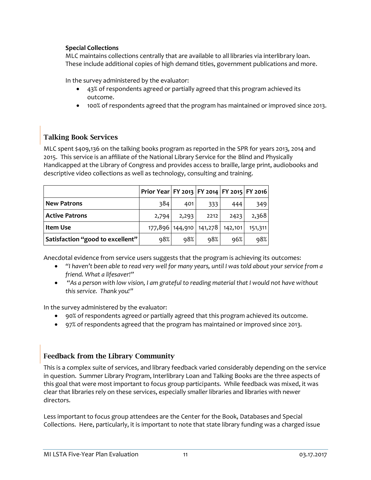### **Special Collections**

MLC maintains collections centrally that are available to all libraries via interlibrary loan. These include additional copies of high demand titles, government publications and more.

In the survey administered by the evaluator:

- 43% of respondents agreed or partially agreed that this program achieved its outcome.
- 100% of respondents agreed that the program has maintained or improved since 2013.

## Talking Book Services

MLC spent \$409,136 on the talking books program as reported in the SPR for years 2013, 2014 and 2015. This service is an affiliate of the National Library Service for the Blind and Physically Handicapped at the Library of Congress and provides access to braille, large print, audiobooks and descriptive video collections as well as technology, consulting and training.

|                                  | Prior Year   FY 2013   FY 2014   FY 2015   FY 2016 |         |         |         |         |
|----------------------------------|----------------------------------------------------|---------|---------|---------|---------|
| <b>New Patrons</b>               | 384                                                | 401     | 333     | 444     | 349     |
| <b>Active Patrons</b>            | 2,794                                              | 2,293   | 2212    | 2423    | 2,368   |
| <b>Item Use</b>                  | 177,896                                            | 144,910 | 141,278 | 142,101 | 151,311 |
| Satisfaction "good to excellent" | 98%                                                | 98%     | 98%     | 96%     | 98%     |

Anecdotal evidence from service users suggests that the program is achieving its outcomes:

- *"I haven't been able to read very well for many years, until I was told about your service from a friend. What a lifesaver!"*
- *"As a person with low vision, I am grateful to reading material that I would not have without this service. Thank you!"*

In the survey administered by the evaluator:

- 90% of respondents agreed or partially agreed that this program achieved its outcome.
- 97% of respondents agreed that the program has maintained or improved since 2013.

## Feedback from the Library Community

This is a complex suite of services, and library feedback varied considerably depending on the service in question. Summer Library Program, Interlibrary Loan and Talking Books are the three aspects of this goal that were most important to focus group participants. While feedback was mixed, it was clear that libraries rely on these services, especially smaller libraries and libraries with newer directors.

Less important to focus group attendees are the Center for the Book, Databases and Special Collections. Here, particularly, it is important to note that state library funding was a charged issue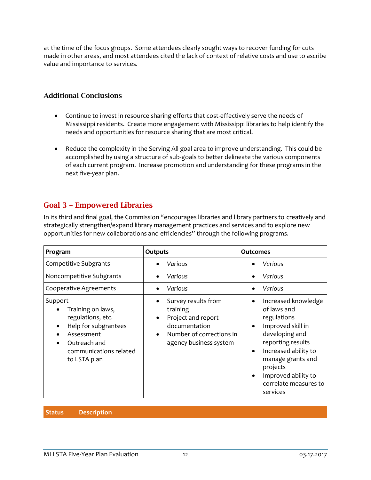at the time of the focus groups. Some attendees clearly sought ways to recover funding for cuts made in other areas, and most attendees cited the lack of context of relative costs and use to ascribe value and importance to services.

## Additional Conclusions

- Continue to invest in resource sharing efforts that cost-effectively serve the needs of Mississippi residents. Create more engagement with Mississippi libraries to help identify the needs and opportunities for resource sharing that are most critical.
- Reduce the complexity in the Serving All goal area to improve understanding. This could be accomplished by using a structure of sub-goals to better delineate the various components of each current program. Increase promotion and understanding for these programs in the next five-year plan.

## Goal 3 – Empowered Libraries

In its third and final goal, the Commission "encourages libraries and library partners to creatively and strategically strengthen/expand library management practices and services and to explore new opportunities for new collaborations and efficiencies" through the following programs.

| Program                                                                                                                                           | <b>Outputs</b>                                                                                                                            | <b>Outcomes</b>                                                                                                                                                                                                                                                                        |  |  |
|---------------------------------------------------------------------------------------------------------------------------------------------------|-------------------------------------------------------------------------------------------------------------------------------------------|----------------------------------------------------------------------------------------------------------------------------------------------------------------------------------------------------------------------------------------------------------------------------------------|--|--|
| <b>Competitive Subgrants</b>                                                                                                                      | Various                                                                                                                                   | Various                                                                                                                                                                                                                                                                                |  |  |
| Noncompetitive Subgrants                                                                                                                          | Various                                                                                                                                   | Various                                                                                                                                                                                                                                                                                |  |  |
| <b>Cooperative Agreements</b>                                                                                                                     | Various                                                                                                                                   | Various                                                                                                                                                                                                                                                                                |  |  |
| Support<br>Training on laws,<br>regulations, etc.<br>Help for subgrantees<br>Assessment<br>Outreach and<br>communications related<br>to LSTA plan | Survey results from<br>training<br>Project and report<br>$\bullet$<br>documentation<br>Number of corrections in<br>agency business system | Increased knowledge<br>$\bullet$<br>of laws and<br>regulations<br>Improved skill in<br>$\bullet$<br>developing and<br>reporting results<br>Increased ability to<br>$\bullet$<br>manage grants and<br>projects<br>Improved ability to<br>$\bullet$<br>correlate measures to<br>services |  |  |

**Status Description**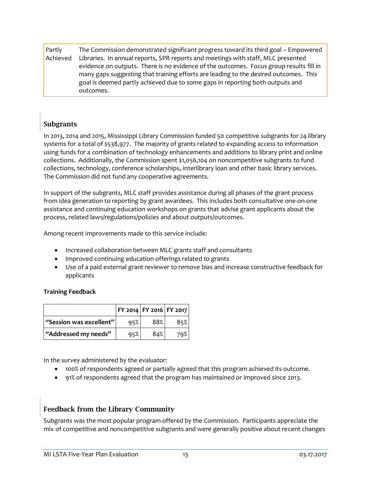Partly Achieved The Commission demonstrated significant progress toward its third goal – Empowered Libraries. In annual reports, SPR reports and meetings with staff, MLC presented evidence on outputs. There is no evidence of the outcomes. Focus group results fill in many gaps suggesting that training efforts are leading to the desired outcomes. This goal is deemed partly achieved due to some gaps in reporting both outputs and outcomes.

## **Subgrants**

In 2013, 2014 and 2015, Mississippi Library Commission funded 50 competitive subgrants for 24 library systems for a total of \$538,977. The majority of grants related to expanding access to information using funds for a combination of technology enhancements and additions to library print and online collections. Additionally, the Commission spent \$1,056,104 on noncompetitive subgrants to fund collections, technology, conference scholarships, interlibrary loan and other basic library services. The Commission did not fund any cooperative agreements.

In support of the subgrants, MLC staff provides assistance during all phases of the grant process from idea generation to reporting by grant awardees. This includes both consultative one-on-one assistance and continuing education workshops on grants that advise grant applicants about the process, related laws/regulations/policies and about outputs/outcomes.

Among recent improvements made to this service include:

- Increased collaboration between MLC grants staff and consultants
- Improved continuing education offerings related to grants
- Use of a paid external grant reviewer to remove bias and increase constructive feedback for applicants

### **Training Feedback**

|                                | FY 2014   FY 2016   FY 2017 |     |     |
|--------------------------------|-----------------------------|-----|-----|
| $\mid$ "Session was excellent" | 95%                         | 88% | 85% |
| "Addressed my needs"           | 95%                         | 84% | 79% |

In the survey administered by the evaluator:

- 100% of respondents agreed or partially agreed that this program achieved its outcome.
- 91% of respondents agreed that the program has maintained or improved since 2013.

## Feedback from the Library Community

Subgrants was the most popular program offered by the Commission. Participants appreciate the mix of competitive and noncompetitive subgrants and were generally positive about recent changes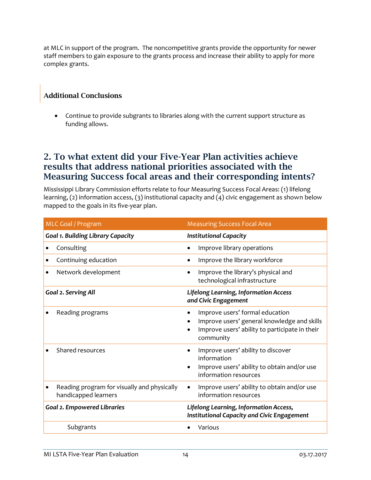at MLC in support of the program. The noncompetitive grants provide the opportunity for newer staff members to gain exposure to the grants process and increase their ability to apply for more complex grants.

## Additional Conclusions

• Continue to provide subgrants to libraries along with the current support structure as funding allows.

## 2. To what extent did your Five-Year Plan activities achieve results that address national priorities associated with the Measuring Success focal areas and their corresponding intents?

Mississippi Library Commission efforts relate to four Measuring Success Focal Areas: (1) lifelong learning, (2) information access, (3) institutional capacity and (4) civic engagement as shown below mapped to the goals in its five-year plan.

| MLC Goal / Program                                                  |           | <b>Measuring Success Focal Area</b>                                                                                                           |
|---------------------------------------------------------------------|-----------|-----------------------------------------------------------------------------------------------------------------------------------------------|
| <b>Goal 1. Building Library Capacity</b>                            |           | <b>Institutional Capacity</b>                                                                                                                 |
| Consulting                                                          | $\bullet$ | Improve library operations                                                                                                                    |
| Continuing education                                                |           | Improve the library workforce                                                                                                                 |
| Network development                                                 |           | Improve the library's physical and<br>technological infrastructure                                                                            |
| Goal 2. Serving All                                                 |           | <b>Lifelong Learning, Information Access</b><br>and Civic Engagement                                                                          |
| Reading programs                                                    |           | Improve users' formal education<br>Improve users' general knowledge and skills<br>Improve users' ability to participate in their<br>community |
| Shared resources                                                    | $\bullet$ | Improve users' ability to discover<br>information<br>Improve users' ability to obtain and/or use<br>information resources                     |
| Reading program for visually and physically<br>handicapped learners | $\bullet$ | Improve users' ability to obtain and/or use<br>information resources                                                                          |
| <b>Goal 2. Empowered Libraries</b>                                  |           | Lifelong Learning, Information Access,<br><b>Institutional Capacity and Civic Engagement</b>                                                  |
| Subgrants                                                           |           | Various                                                                                                                                       |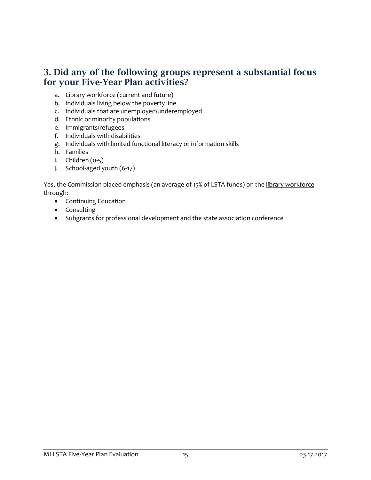## 3. Did any of the following groups represent a substantial focus for your Five-Year Plan activities?

- a. Library workforce (current and future)
- b. Individuals living below the poverty line
- c. Individuals that are unemployed/underemployed
- d. Ethnic or minority populations
- e. Immigrants/refugees
- f. Individuals with disabilities
- g. Individuals with limited functional literacy or information skills
- h. Families
- $i.$  Children  $(0-5)$
- j. School-aged youth (6-17)

Yes, the Commission placed emphasis (an average of 15% of LSTA funds) on the library workforce through:

- Continuing Education
- Consulting
- Subgrants for professional development and the state association conference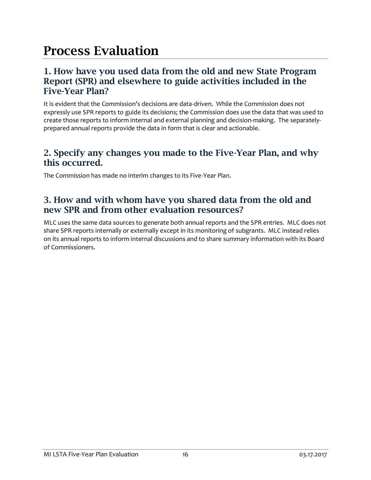# Process Evaluation

## 1. How have you used data from the old and new State Program Report (SPR) and elsewhere to guide activities included in the Five-Year Plan?

It is evident that the Commission's decisions are data-driven. While the Commission does not expressly use SPR reports to guide its decisions; the Commission does use the data that was used to create those reports to inform internal and external planning and decision-making. The separatelyprepared annual reports provide the data in form that is clear and actionable.

## 2. Specify any changes you made to the Five-Year Plan, and why this occurred.

The Commission has made no interim changes to its Five-Year Plan.

## 3. How and with whom have you shared data from the old and new SPR and from other evaluation resources?

MLC uses the same data sources to generate both annual reports and the SPR entries. MLC does not share SPR reports internally or externally except in its monitoring of subgrants. MLC instead relies on its annual reports to inform internal discussions and to share summary information with its Board of Commissioners.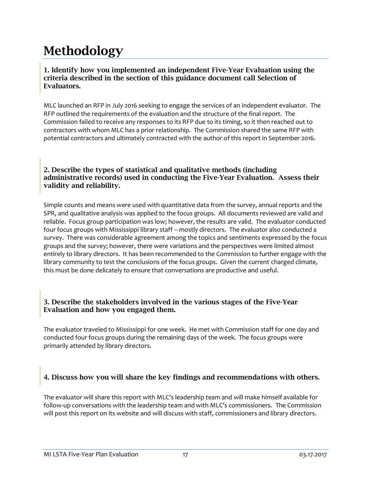# Methodology

### 1. Identify how you implemented an independent Five-Year Evaluation using the criteria described in the section of this guidance document call Selection of Evaluators.

MLC launched an RFP in July 2016 seeking to engage the services of an independent evaluator. The RFP outlined the requirements of the evaluation and the structure of the final report. The Commission failed to receive any responses to its RFP due to its timing, so it then reached out to contractors with whom MLC has a prior relationship. The Commission shared the same RFP with potential contractors and ultimately contracted with the author of this report in September 2016.

### 2. Describe the types of statistical and qualitative methods (including administrative records) used in conducting the Five-Year Evaluation. Assess their validity and reliability.

Simple counts and means were used with quantitative data from the survey, annual reports and the SPR, and qualitative analysis was applied to the focus groups. All documents reviewed are valid and reliable. Focus group participation was low; however, the results are valid. The evaluator conducted four focus groups with Mississippi library staff – mostly directors. The evaluator also conducted a survey. There was considerable agreement among the topics and sentiments expressed by the focus groups and the survey; however, there were variations and the perspectives were limited almost entirely to library directors. It has been recommended to the Commission to further engage with the library community to test the conclusions of the focus groups. Given the current charged climate, this must be done delicately to ensure that conversations are productive and useful.

### 3. Describe the stakeholders involved in the various stages of the Five-Year Evaluation and how you engaged them.

The evaluator traveled to Mississippi for one week. He met with Commission staff for one day and conducted four focus groups during the remaining days of the week. The focus groups were primarily attended by library directors.

## 4. Discuss how you will share the key findings and recommendations with others.

The evaluator will share this report with MLC's leadership team and will make himself available for follow-up conversations with the leadership team and with MLC's commissioners. The Commission will post this report on its website and will discuss with staff, commissioners and library directors.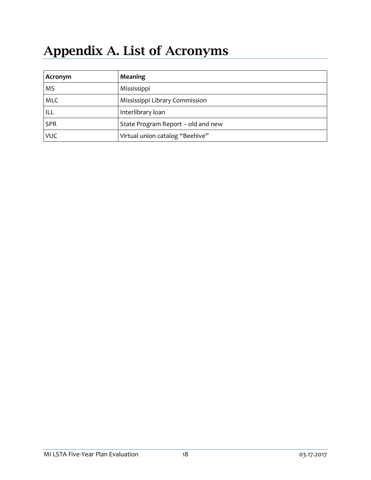# Appendix A. List of Acronyms

| Acronym | Meaning                            |
|---------|------------------------------------|
|         | Mississippi                        |
| MI C    | Mississippi Library Commission     |
|         | Interlibrary loan                  |
|         | State Program Report – old and new |
|         | Virtual union catalog "Beehive"    |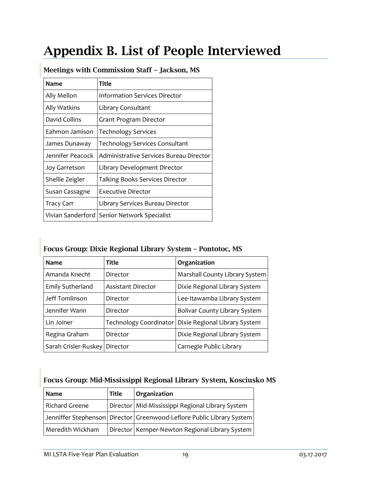# Appendix B. List of People Interviewed

| <b>Name</b>          | Title                                   |  |  |
|----------------------|-----------------------------------------|--|--|
| Ally Mellon          | <b>Information Services Director</b>    |  |  |
| Ally Watkins         | Library Consultant                      |  |  |
| David Collins        | Grant Program Director                  |  |  |
| Eahmon Jamison       | <b>Technology Services</b>              |  |  |
| James Dunaway        | <b>Technology Services Consultant</b>   |  |  |
| Jennifer Peacock     | Administrative Services Bureau Director |  |  |
| <b>Joy Garretson</b> | Library Development Director            |  |  |
| Shellie Zeigler      | Talking Books Services Director         |  |  |
| Susan Cassagne       | Executive Director                      |  |  |
| Tracy Carr           | Library Services Bureau Director        |  |  |
| Vivian Sanderford    | Senior Network Specialist               |  |  |

## Meetings with Commission Staff – Jackson, MS

## Focus Group: Dixie Regional Library System – Pontotoc, MS

| <b>Name</b>             | Title                     | Organization                                           |
|-------------------------|---------------------------|--------------------------------------------------------|
| Amanda Knecht           | Director                  | Marshall County Library System                         |
| <b>Emily Sutherland</b> | <b>Assistant Director</b> | Dixie Regional Library System                          |
| Jeff Tomlinson          | Director                  | Lee-Itawamba Library System                            |
| Jennifer Wann           | Director                  | <b>Bolivar County Library System</b>                   |
| Lin Joiner              |                           | Technology Coordinator   Dixie Regional Library System |
| Regina Graham           | Director                  | Dixie Regional Library System                          |
| Sarah Crisler-Ruskey    | Director                  | Carnegie Public Library                                |

## Focus Group: Mid-Mississippi Regional Library System, Kosciusko MS

| Name             | <b>Title</b> | Organization                                                              |
|------------------|--------------|---------------------------------------------------------------------------|
| Richard Greene   |              | ∣Director   Mid-Mississippi Regional Library System                       |
|                  |              | Jenniffer Stephenson   Director   Greenwood-Leflore Public Library System |
| Meredith Wickham |              | Director   Kemper-Newton Regional Library System                          |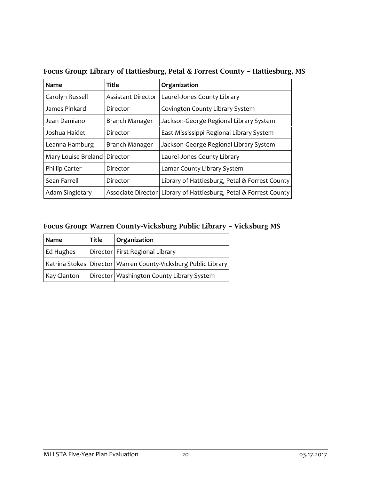| $10000$ growp moral, or matures and $\alpha$ is the correct count, |                           |                                                |  |  |
|--------------------------------------------------------------------|---------------------------|------------------------------------------------|--|--|
| <b>Name</b>                                                        | Title                     | Organization                                   |  |  |
| Carolyn Russell                                                    | <b>Assistant Director</b> | Laurel-Jones County Library                    |  |  |
| James Pinkard                                                      | Director                  | Covington County Library System                |  |  |
| Jean Damiano                                                       | Branch Manager            | Jackson-George Regional Library System         |  |  |
| Joshua Haidet                                                      | Director                  | East Mississippi Regional Library System       |  |  |
| Leanna Hamburg                                                     | Branch Manager            | Jackson-George Regional Library System         |  |  |
| Mary Louise Breland                                                | Director                  | Laurel-Jones County Library                    |  |  |
| Phillip Carter                                                     | Director                  | Lamar County Library System                    |  |  |
| Sean Farrell                                                       | Director                  | Library of Hattiesburg, Petal & Forrest County |  |  |
| Adam Singletary                                                    | Associate Director        | Library of Hattiesburg, Petal & Forrest County |  |  |

## Focus Group: Library of Hattiesburg, Petal & Forrest County – Hattiesburg, MS

| Focus Group: Warren County-Vicksburg Public Library - Vicksburg MS |       |                                                                    |  |  |  |
|--------------------------------------------------------------------|-------|--------------------------------------------------------------------|--|--|--|
| Name                                                               | Title | Organization                                                       |  |  |  |
| Ed Hughes                                                          |       | Director First Regional Library                                    |  |  |  |
|                                                                    |       | Katrina Stokes   Director   Warren County-Vicksburg Public Library |  |  |  |
| Kay Clanton                                                        |       | Director   Washington County Library System                        |  |  |  |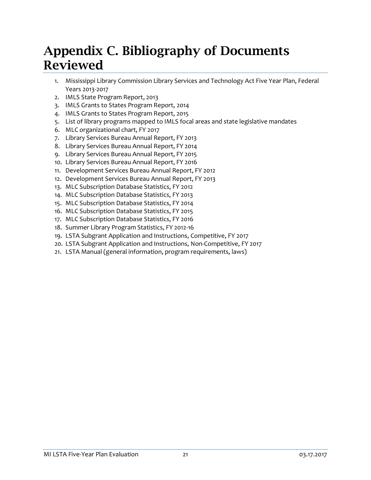# Appendix C. Bibliography of Documents Reviewed

- 1. Mississippi Library Commission Library Services and Technology Act Five Year Plan, Federal Years 2013-2017
- 2. IMLS State Program Report, 2013
- 3. IMLS Grants to States Program Report, 2014
- 4. IMLS Grants to States Program Report, 2015
- 5. List of library programs mapped to IMLS focal areas and state legislative mandates
- 6. MLC organizational chart, FY 2017
- 7. Library Services Bureau Annual Report, FY 2013
- 8. Library Services Bureau Annual Report, FY 2014
- 9. Library Services Bureau Annual Report, FY 2015
- 10. Library Services Bureau Annual Report, FY 2016
- 11. Development Services Bureau Annual Report, FY 2012
- 12. Development Services Bureau Annual Report, FY 2013
- 13. MLC Subscription Database Statistics, FY 2012
- 14. MLC Subscription Database Statistics, FY 2013
- 15. MLC Subscription Database Statistics, FY 2014
- 16. MLC Subscription Database Statistics, FY 2015
- 17. MLC Subscription Database Statistics, FY 2016
- 18. Summer Library Program Statistics, FY 2012-16
- 19. LSTA Subgrant Application and Instructions, Competitive, FY 2017
- 20. LSTA Subgrant Application and Instructions, Non-Competitive, FY 2017
- 21. LSTA Manual (general information, program requirements, laws)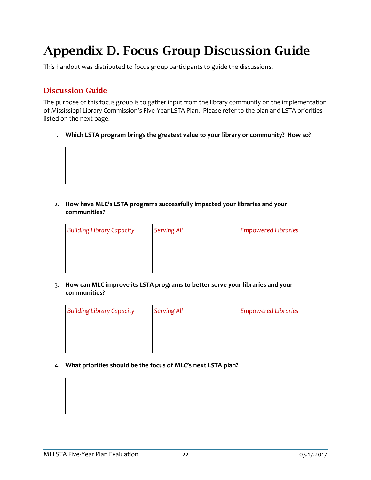# Appendix D. Focus Group Discussion Guide

This handout was distributed to focus group participants to guide the discussions.

## Discussion Guide

The purpose of this focus group is to gather input from the library community on the implementation of Mississippi Library Commission's Five-Year LSTA Plan. Please refer to the plan and LSTA priorities listed on the next page.

1. **Which LSTA program brings the greatest value to your library or community? How so?**



2. **How have MLC's LSTA programs successfully impacted your libraries and your communities?**

| <b>Building Library Capacity</b> | <b>Serving All</b> | <b>Empowered Libraries</b> |
|----------------------------------|--------------------|----------------------------|
|                                  |                    |                            |
|                                  |                    |                            |
|                                  |                    |                            |

#### 3. **How can MLC improve its LSTA programs to better serve your libraries and your communities?**

| <b>Building Library Capacity</b> | <b>Serving All</b> | <b>Empowered Libraries</b> |
|----------------------------------|--------------------|----------------------------|
|                                  |                    |                            |
|                                  |                    |                            |
|                                  |                    |                            |

#### 4. **What priorities should be the focus of MLC's next LSTA plan?**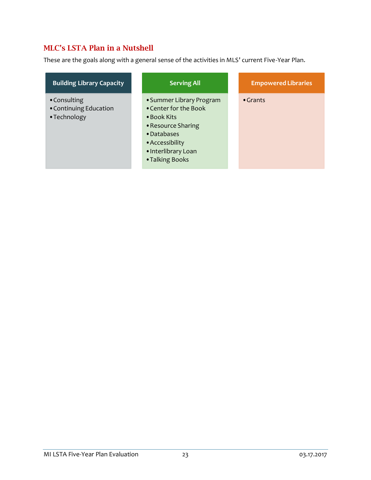## MLC's LSTA Plan in a Nutshell

These are the goals along with a general sense of the activities in MLS' current Five-Year Plan.

| <b>Building Library Capacity</b>                       | <b>Serving All</b>                                                                                                                                                 | <b>Empowered Libraries</b> |
|--------------------------------------------------------|--------------------------------------------------------------------------------------------------------------------------------------------------------------------|----------------------------|
| • Consulting<br>• Continuing Education<br>• Technology | • Summer Library Program<br>• Center for the Book<br>• Book Kits<br>• Resource Sharing<br>• Databases<br>• Accessibility<br>· Interlibrary Loan<br>• Talking Books | $\bullet$ Grants           |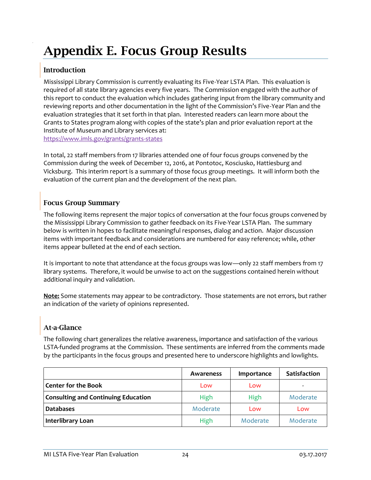# Appendix E. Focus Group Results

## Introduction

Mississippi Library Commission is currently evaluating its Five-Year LSTA Plan. This evaluation is required of all state library agencies every five years. The Commission engaged with the author of this report to conduct the evaluation which includes gathering input from the library community and reviewing reports and other documentation in the light of the Commission's Five-Year Plan and the evaluation strategies that it set forth in that plan. Interested readers can learn more about the Grants to States program along with copies of the state's plan and prior evaluation report at the Institute of Museum and Library services at: <https://www.imls.gov/grants/grants-states>

In total, 22 staff members from 17 libraries attended one of four focus groups convened by the Commission during the week of December 12, 2016, at Pontotoc, Kosciusko, Hattiesburg and Vicksburg. This interim report is a summary of those focus group meetings. It will inform both the evaluation of the current plan and the development of the next plan.

## Focus Group Summary

The following items represent the major topics of conversation at the four focus groups convened by the Mississippi Library Commission to gather feedback on its Five-Year LSTA Plan. The summary below is written in hopes to facilitate meaningful responses, dialog and action. Major discussion items with important feedback and considerations are numbered for easy reference; while, other items appear bulleted at the end of each section.

It is important to note that attendance at the focus groups was low—only 22 staff members from 17 library systems. Therefore, it would be unwise to act on the suggestions contained herein without additional inquiry and validation.

**Note:** Some statements may appear to be contradictory. Those statements are not errors, but rather an indication of the variety of opinions represented.

## At-a-Glance

The following chart generalizes the relative awareness, importance and satisfaction of the various LSTA-funded programs at the Commission. These sentiments are inferred from the comments made by the participants in the focus groups and presented here to underscore highlights and lowlights.

|                                                                                                                                | Awareness | Importance | Satisfaction |
|--------------------------------------------------------------------------------------------------------------------------------|-----------|------------|--------------|
| <b>Center for the Book</b>                                                                                                     |           | <b>OW</b>  |              |
| <b>Consulting and Continuing Education</b><br>,他们的人都不能在这里,他们的人都不能在这里,他们的人都不能在这里,他们的人都不能在这里,他们的人都不能在这里,他们的人都不能在这里,他们的人都不能在这里,他们 |           |            | Moderate     |
| <b>Databases</b>                                                                                                               | Moderate  | <b>OW</b>  |              |
| Interlibrary Loan                                                                                                              |           | Moderate   | Moderate     |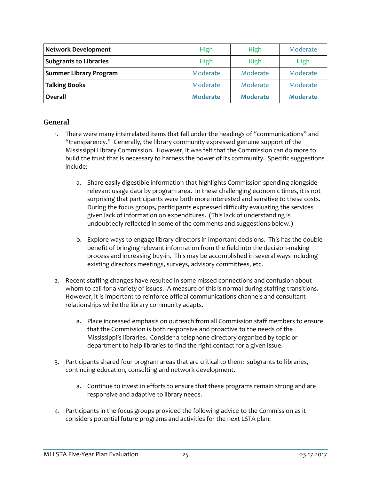| <b>Network Development</b>    |                 | High     | Moderate        |
|-------------------------------|-----------------|----------|-----------------|
| <b>Subgrants to Libraries</b> |                 | High     | High            |
| <b>Summer Library Program</b> | Moderate        | Moderate | Moderate        |
| Talking Books                 | Moderate        | Moderate | Moderate        |
| Overall                       | <b>Moderate</b> | Moderate | <b>Moderate</b> |

### **General**

- 1. There were many interrelated items that fall under the headings of "communications" and "transparency." Generally, the library community expressed genuine support of the Mississippi Library Commission. However, it was felt that the Commission can do more to build the trust that is necessary to harness the power of its community. Specific suggestions include:
	- a. Share easily digestible information that highlights Commission spending alongside relevant usage data by program area. In these challenging economic times, it is not surprising that participants were both more interested and sensitive to these costs. During the focus groups, participants expressed difficulty evaluating the services given lack of information on expenditures. (This lack of understanding is undoubtedly reflected in some of the comments and suggestions below.)
	- b. Explore ways to engage library directors in important decisions. This has the double benefit of bringing relevant information from the field into the decision-making process and increasing buy-in. This may be accomplished in several ways including existing directors meetings, surveys, advisory committees, etc.
- 2. Recent staffing changes have resulted in some missed connections and confusion about whom to call for a variety of issues. A measure of this is normal during staffing transitions. However, it is important to reinforce official communications channels and consultant relationships while the library community adapts.
	- a. Place increased emphasis on outreach from all Commission staff members to ensure that the Commission is both responsive and proactive to the needs of the Mississippi's libraries. Consider a telephone directory organized by topic or department to help libraries to find the right contact for a given issue.
- 3. Participants shared four program areas that are critical to them: subgrants to libraries, continuing education, consulting and network development.
	- a. Continue to invest in efforts to ensure that these programs remain strong and are responsive and adaptive to library needs.
- 4. Participants in the focus groups provided the following advice to the Commission as it considers potential future programs and activities for the next LSTA plan: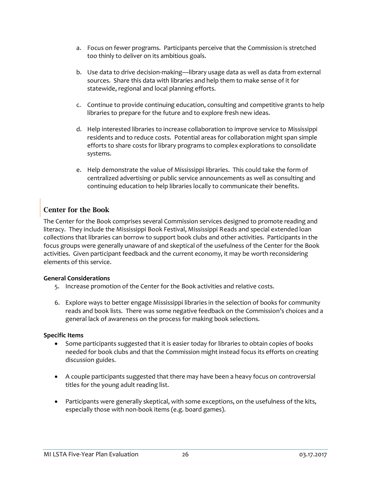- a. Focus on fewer programs. Participants perceive that the Commission is stretched too thinly to deliver on its ambitious goals.
- b. Use data to drive decision-making—library usage data as well as data from external sources. Share this data with libraries and help them to make sense of it for statewide, regional and local planning efforts.
- c. Continue to provide continuing education, consulting and competitive grants to help libraries to prepare for the future and to explore fresh new ideas.
- d. Help interested libraries to increase collaboration to improve service to Mississippi residents and to reduce costs. Potential areas for collaboration might span simple efforts to share costs for library programs to complex explorations to consolidate systems.
- e. Help demonstrate the value of Mississippi libraries. This could take the form of centralized advertising or public service announcements as well as consulting and continuing education to help libraries locally to communicate their benefits.

## Center for the Book

The Center for the Book comprises several Commission services designed to promote reading and literacy. They include the Mississippi Book Festival, Mississippi Reads and special extended loan collections that libraries can borrow to support book clubs and other activities. Participants in the focus groups were generally unaware of and skeptical of the usefulness of the Center for the Book activities. Given participant feedback and the current economy, it may be worth reconsidering elements of this service.

### **General Considerations**

- 5. Increase promotion of the Center for the Book activities and relative costs.
- 6. Explore ways to better engage Mississippi libraries in the selection of books for community reads and book lists. There was some negative feedback on the Commission's choices and a general lack of awareness on the process for making book selections.

### **Specific Items**

- Some participants suggested that it is easier today for libraries to obtain copies of books needed for book clubs and that the Commission might instead focus its efforts on creating discussion guides.
- A couple participants suggested that there may have been a heavy focus on controversial titles for the young adult reading list.
- Participants were generally skeptical, with some exceptions, on the usefulness of the kits, especially those with non-book items (e.g. board games).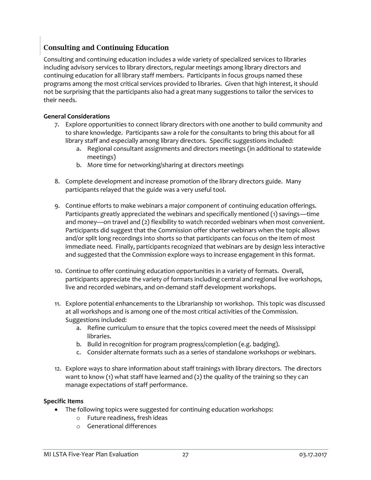## Consulting and Continuing Education

Consulting and continuing education includes a wide variety of specialized services to libraries including advisory services to library directors, regular meetings among library directors and continuing education for all library staff members. Participants in focus groups named these programs among the most critical services provided to libraries. Given that high interest, it should not be surprising that the participants also had a great many suggestions to tailor the services to their needs.

### **General Considerations**

- 7. Explore opportunities to connect library directors with one another to build community and to share knowledge. Participants saw a role for the consultants to bring this about for all library staff and especially among library directors. Specific suggestions included:
	- a. Regional consultant assignments and directors meetings (in additional to statewide meetings)
	- b. More time for networking/sharing at directors meetings
- 8. Complete development and increase promotion of the library directors guide. Many participants relayed that the guide was a very useful tool.
- 9. Continue efforts to make webinars a major component of continuing education offerings. Participants greatly appreciated the webinars and specifically mentioned (1) savings—time and money—on travel and (2) flexibility to watch recorded webinars when most convenient. Participants did suggest that the Commission offer shorter webinars when the topic allows and/or split long recordings into shorts so that participants can focus on the item of most immediate need. Finally, participants recognized that webinars are by design less interactive and suggested that the Commission explore ways to increase engagement in this format.
- 10. Continue to offer continuing education opportunities in a variety of formats. Overall, participants appreciate the variety of formats including central and regional live workshops, live and recorded webinars, and on-demand staff development workshops.
- 11. Explore potential enhancements to the Librarianship 101 workshop. This topic was discussed at all workshops and is among one of the most critical activities of the Commission. Suggestions included:
	- a. Refine curriculum to ensure that the topics covered meet the needs of Mississippi libraries.
	- b. Build in recognition for program progress/completion (e.g. badging).
	- c. Consider alternate formats such as a series of standalone workshops or webinars.
- 12. Explore ways to share information about staff trainings with library directors. The directors want to know (1) what staff have learned and (2) the quality of the training so they can manage expectations of staff performance.

### **Specific Items**

- The following topics were suggested for continuing education workshops:
	- o Future readiness, fresh ideas
	- o Generational differences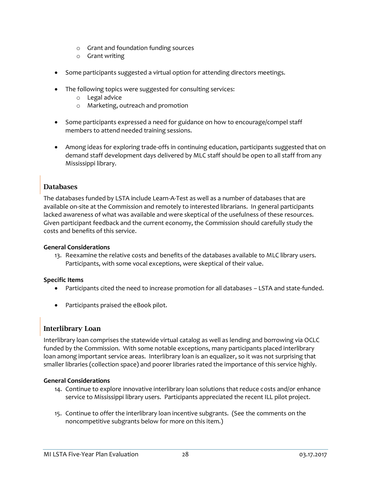- o Grant and foundation funding sources
- o Grant writing
- Some participants suggested a virtual option for attending directors meetings.
- The following topics were suggested for consulting services:
	- o Legal advice
	- o Marketing, outreach and promotion
- Some participants expressed a need for guidance on how to encourage/compel staff members to attend needed training sessions.
- Among ideas for exploring trade-offs in continuing education, participants suggested that on demand staff development days delivered by MLC staff should be open to all staff from any Mississippi library.

### Databases

The databases funded by LSTA include Learn-A-Test as well as a number of databases that are available on-site at the Commission and remotely to interested librarians. In general participants lacked awareness of what was available and were skeptical of the usefulness of these resources. Given participant feedback and the current economy, the Commission should carefully study the costs and benefits of this service.

### **General Considerations**

13. Reexamine the relative costs and benefits of the databases available to MLC library users. Participants, with some vocal exceptions, were skeptical of their value.

### **Specific Items**

- Participants cited the need to increase promotion for all databases LSTA and state-funded.
- Participants praised the eBook pilot.

## Interlibrary Loan

Interlibrary loan comprises the statewide virtual catalog as well as lending and borrowing via OCLC funded by the Commission. With some notable exceptions, many participants placed interlibrary loan among important service areas. Interlibrary loan is an equalizer, so it was not surprising that smaller libraries (collection space) and poorer libraries rated the importance of this service highly.

### **General Considerations**

- 14. Continue to explore innovative interlibrary loan solutions that reduce costs and/or enhance service to Mississippi library users. Participants appreciated the recent ILL pilot project.
- 15. Continue to offer the interlibrary loan incentive subgrants. (See the comments on the noncompetitive subgrants below for more on this item.)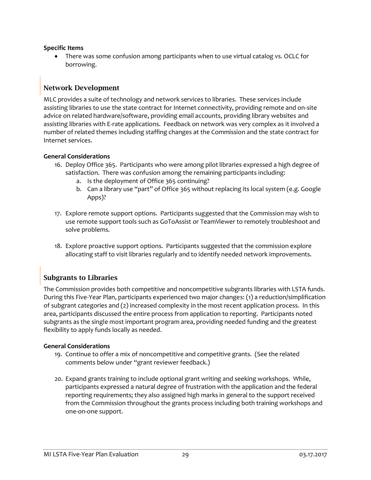### **Specific Items**

• There was some confusion among participants when to use virtual catalog vs. OCLC for borrowing.

## Network Development

MLC provides a suite of technology and network services to libraries. These services include assisting libraries to use the state contract for Internet connectivity, providing remote and on-site advice on related hardware/software, providing email accounts, providing library websites and assisting libraries with E-rate applications. Feedback on network was very complex as it involved a number of related themes including staffing changes at the Commission and the state contract for Internet services.

### **General Considerations**

- 16. Deploy Office 365. Participants who were among pilot libraries expressed a high degree of satisfaction. There was confusion among the remaining participants including:
	- a. Is the deployment of Office 365 continuing?
	- b. Can a library use "part" of Office 365 without replacing its local system (e.g. Google Apps)?
- 17. Explore remote support options. Participants suggested that the Commission may wish to use remote support tools such as GoToAssist or TeamViewer to remotely troubleshoot and solve problems.
- 18. Explore proactive support options. Participants suggested that the commission explore allocating staff to visit libraries regularly and to identify needed network improvements.

## Subgrants to Libraries

The Commission provides both competitive and noncompetitive subgrants libraries with LSTA funds. During this Five-Year Plan, participants experienced two major changes: (1) a reduction/simplification of subgrant categories and (2) increased complexity in the most recent application process. In this area, participants discussed the entire process from application to reporting. Participants noted subgrants as the single most important program area, providing needed funding and the greatest flexibility to apply funds locally as needed.

### **General Considerations**

- 19. Continue to offer a mix of noncompetitive and competitive grants. (See the related comments below under "grant reviewer feedback.)
- 20. Expand grants training to include optional grant writing and seeking workshops. While, participants expressed a natural degree of frustration with the application and the federal reporting requirements; they also assigned high marks in general to the support received from the Commission throughout the grants process including both training workshops and one-on-one support.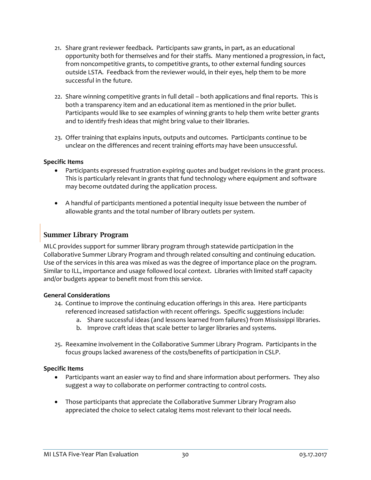- 21. Share grant reviewer feedback. Participants saw grants, in part, as an educational opportunity both for themselves and for their staffs. Many mentioned a progression, in fact, from noncompetitive grants, to competitive grants, to other external funding sources outside LSTA. Feedback from the reviewer would, in their eyes, help them to be more successful in the future.
- 22. Share winning competitive grants in full detail both applications and final reports. This is both a transparency item and an educational item as mentioned in the prior bullet. Participants would like to see examples of winning grants to help them write better grants and to identify fresh ideas that might bring value to their libraries.
- 23. Offer training that explains inputs, outputs and outcomes. Participants continue to be unclear on the differences and recent training efforts may have been unsuccessful.

#### **Specific Items**

- Participants expressed frustration expiring quotes and budget revisions in the grant process. This is particularly relevant in grants that fund technology where equipment and software may become outdated during the application process.
- A handful of participants mentioned a potential inequity issue between the number of allowable grants and the total number of library outlets per system.

### Summer Library Program

MLC provides support for summer library program through statewide participation in the Collaborative Summer Library Program and through related consulting and continuing education. Use of the services in this area was mixed as was the degree of importance place on the program. Similar to ILL, importance and usage followed local context. Libraries with limited staff capacity and/or budgets appear to benefit most from this service.

#### **General Considerations**

- 24. Continue to improve the continuing education offerings in this area. Here participants referenced increased satisfaction with recent offerings. Specific suggestions include:
	- a. Share successful ideas (and lessons learned from failures) from Mississippi libraries.
	- b. Improve craft ideas that scale better to larger libraries and systems.
- 25. Reexamine involvement in the Collaborative Summer Library Program. Participants in the focus groups lacked awareness of the costs/benefits of participation in CSLP.

#### **Specific Items**

- Participants want an easier way to find and share information about performers. They also suggest a way to collaborate on performer contracting to control costs.
- Those participants that appreciate the Collaborative Summer Library Program also appreciated the choice to select catalog items most relevant to their local needs.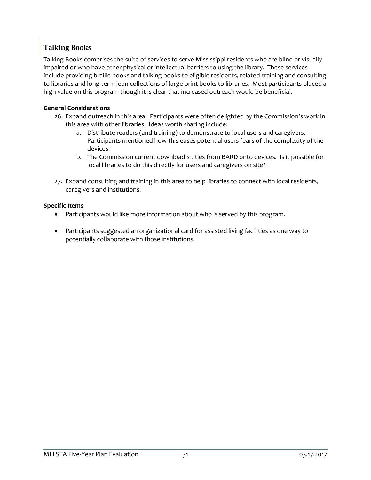## Talking Books

Talking Books comprises the suite of services to serve Mississippi residents who are blind or visually impaired or who have other physical or intellectual barriers to using the library. These services include providing braille books and talking books to eligible residents, related training and consulting to libraries and long-term loan collections of large print books to libraries. Most participants placed a high value on this program though it is clear that increased outreach would be beneficial.

### **General Considerations**

- 26. Expand outreach in this area. Participants were often delighted by the Commission's work in this area with other libraries. Ideas worth sharing include:
	- a. Distribute readers (and training) to demonstrate to local users and caregivers. Participants mentioned how this eases potential users fears of the complexity of the devices.
	- b. The Commission current download's titles from BARD onto devices. Is it possible for local libraries to do this directly for users and caregivers on site?
- 27. Expand consulting and training in this area to help libraries to connect with local residents, caregivers and institutions.

### **Specific Items**

- Participants would like more information about who is served by this program.
- Participants suggested an organizational card for assisted living facilities as one way to potentially collaborate with those institutions.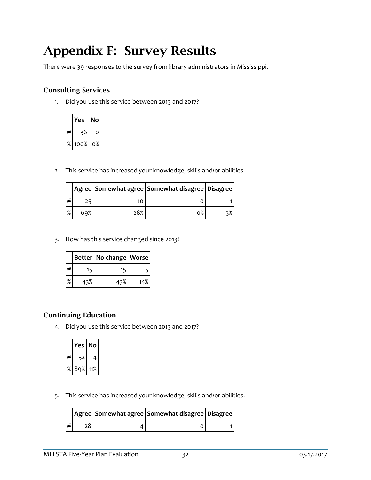# Appendix F: Survey Results

There were 39 responses to the survey from library administrators in Mississippi.

## Consulting Services

1. Did you use this service between 2013 and 2017?

|   | Yes  | Nο |
|---|------|----|
| # | 36   | ი  |
| % | 100% | o% |

2. This service has increased your knowledge, skills and/or abilities.

|   |     |     | Agree   Somewhat agree   Somewhat disagree   Disagree |    |
|---|-----|-----|-------------------------------------------------------|----|
| # | ⊐כ  |     |                                                       |    |
| % | 69% | 28% | ი%                                                    | 3% |

3. How has this service changed since 2013?

|   |     | Better   No change   Worse |     |
|---|-----|----------------------------|-----|
| # | 15  | 15                         |     |
| % | 43% | 43%                        | 14% |

## Continuing Education

4. Did you use this service between 2013 and 2017?

|   | Yes | No  |
|---|-----|-----|
| # |     | 4   |
| % | 89% | 11% |

5. This service has increased your knowledge, skills and/or abilities.

|   |  | Agree   Somewhat agree   Somewhat disagree   Disagree |  |
|---|--|-------------------------------------------------------|--|
| # |  |                                                       |  |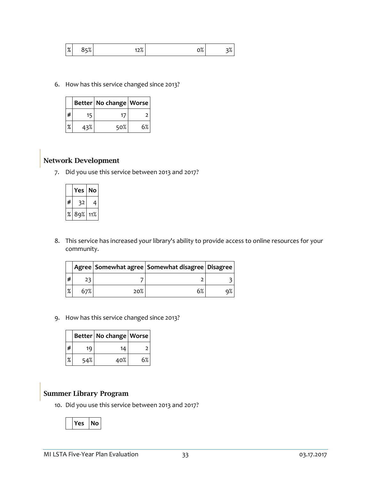| $\mathbf{O}$<br>$\sqrt{2}$ | $-9/$<br>$\overline{\phantom{a}}$ | $\Omega$<br>$\prime$<br>. <u>.</u> . | ~ 0/<br>Ο% | 70 |
|----------------------------|-----------------------------------|--------------------------------------|------------|----|
|----------------------------|-----------------------------------|--------------------------------------|------------|----|

6. How has this service changed since 2013?

|               |     | Better   No change   Worse |    |
|---------------|-----|----------------------------|----|
| # ا           | 15  | 17                         |    |
| $\frac{9}{6}$ | 43% | 50%                        | 6% |

## Network Development

7. Did you use this service between 2013 and 2017?

|   | 'es | No  |
|---|-----|-----|
| # |     | 4   |
| % | 89% | 11% |

8. This service has increased your library's ability to provide access to online resources for your community.

|   |     |     | Agree Somewhat agree Somewhat disagree Disagree |  |
|---|-----|-----|-------------------------------------------------|--|
| # | 23  |     |                                                 |  |
| % | 67% | 20% | 6%                                              |  |

9. How has this service changed since 2013?

|   |     | Better   No change   Worse |    |
|---|-----|----------------------------|----|
| # | 19  | 14                         |    |
| % | 54% | 40%                        | 6% |

## Summer Library Program

10. Did you use this service between 2013 and 2017?

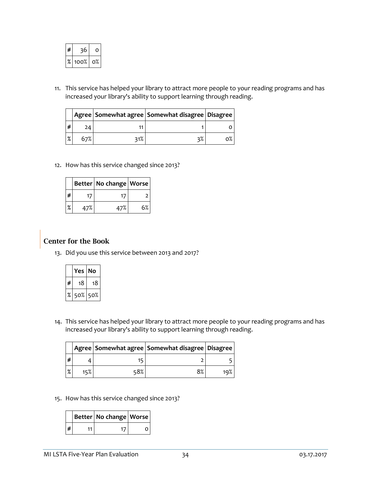| # | 6    | O  |
|---|------|----|
| % | 100% | о% |

11. This service has helped your library to attract more people to your reading programs and has increased your library's ability to support learning through reading.

|   |     | Agree   Somewhat agree   Somewhat disagree   Disagree |  |
|---|-----|-------------------------------------------------------|--|
| # | 24  |                                                       |  |
| % | 67% | 3%                                                    |  |

12. How has this service changed since 2013?

|   |     | Better   No change   Worse |    |
|---|-----|----------------------------|----|
| ∦ | 17  | 17                         |    |
| % | 47% | 47%                        | 6% |

# Center for the Book

13. Did you use this service between 2013 and 2017?

|   | Yes | Nο  |
|---|-----|-----|
| # | 18  | 18  |
| ℅ | 50% | 50% |

14. This service has helped your library to attract more people to your reading programs and has increased your library's ability to support learning through reading.

|   |     |     | Agree   Somewhat agree   Somewhat disagree   Disagree |     |
|---|-----|-----|-------------------------------------------------------|-----|
| # |     |     |                                                       |     |
| % | 15% | 58% | 8%                                                    | 10% |

15. How has this service changed since 2013?

|  | Better   No change   Worse |  |
|--|----------------------------|--|
|  |                            |  |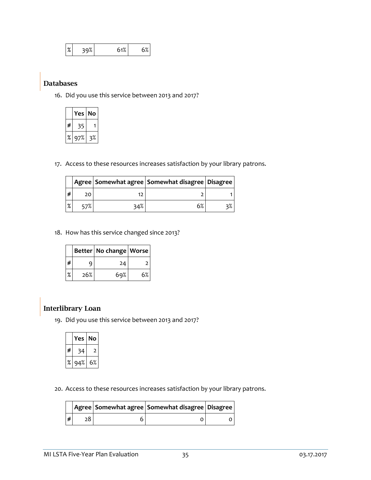| $\mathsf{o}_\mathscr{I}$ | ~° | 51%        | 5% |
|--------------------------|----|------------|----|
| 70                       |    | $\sim 1/6$ | ັ  |

### Databases

16. Did you use this service between 2013 and 2017?

|   | Yes | No |
|---|-----|----|
| # |     |    |
| ℅ | 97% | 3% |

17. Access to these resources increases satisfaction by your library patrons.

|   |     |     | Agree   Somewhat agree   Somewhat disagree   Disagree |  |
|---|-----|-----|-------------------------------------------------------|--|
| # | 20. |     |                                                       |  |
| % | 57% | 34% | 6%                                                    |  |

18. How has this service changed since 2013?

|   |     | Better   No change   Worse |    |
|---|-----|----------------------------|----|
| # | a   | 24                         | Հ  |
| % | 26% | 69%                        | 6% |

## Interlibrary Loan

19. Did you use this service between 2013 and 2017?

|   | Yes | No |
|---|-----|----|
| # | 34  | ↗  |
| ℅ | 94% | 6% |

20. Access to these resources increases satisfaction by your library patrons.

|   |  | Agree   Somewhat agree   Somewhat disagree   Disagree |  |
|---|--|-------------------------------------------------------|--|
| # |  |                                                       |  |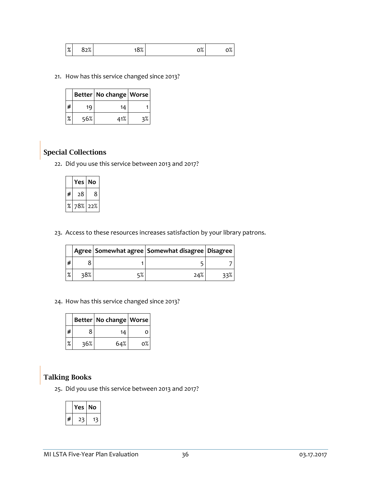| $\mathbf{O}$<br>$\sqrt{2}$ | $\mathbf{v}$<br>---- | ∕ם כ<br><br>$\sim$ | $\sim$ 0/<br>υ⁄, | v/0 |
|----------------------------|----------------------|--------------------|------------------|-----|
|----------------------------|----------------------|--------------------|------------------|-----|

21. How has this service changed since 2013?

|   |     | Better   No change   Worse |    |
|---|-----|----------------------------|----|
| # | 19  | 14                         |    |
| % | 56% | 41%                        | 3% |

## Special Collections

22. Did you use this service between 2013 and 2017?

|   | Yes l | No   |
|---|-------|------|
| # | 28    | 8    |
| % | 78%   | -22% |

23. Access to these resources increases satisfaction by your library patrons.

|   |     | Agree   Somewhat agree   Somewhat disagree   Disagree |      |
|---|-----|-------------------------------------------------------|------|
| # |     |                                                       |      |
| % | 38% | 24%                                                   | ે ર% |

24. How has this service changed since 2013?

|   |     | Better   No change   Worse |    |
|---|-----|----------------------------|----|
| ∦ |     | 14                         | ი  |
| % | 36% | 64%                        | o% |

## Talking Books

25. Did you use this service between 2013 and 2017?

|   | Yes | l No |  |
|---|-----|------|--|
| # |     |      |  |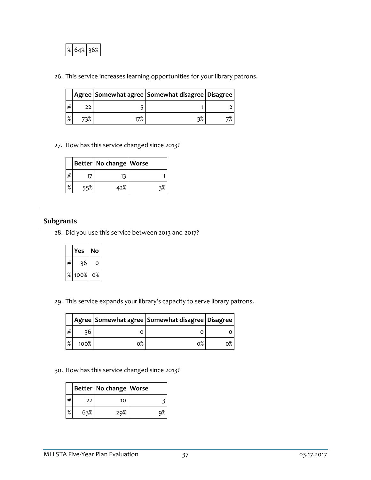

26. This service increases learning opportunities for your library patrons.

|   |  | Agree   Somewhat agree   Somewhat disagree   Disagree |  |
|---|--|-------------------------------------------------------|--|
| # |  |                                                       |  |
| % |  | २%                                                    |  |

27. How has this service changed since 2013?

|   |     | Better   No change   Worse |  |
|---|-----|----------------------------|--|
| # | 17  | 13                         |  |
| % | 55% | 42%                        |  |

### **Subgrants**

28. Did you use this service between 2013 and 2017?

|   | Yes  | No |
|---|------|----|
| # | 36   | o  |
| % | 100% | о% |

29. This service expands your library's capacity to serve library patrons.

|   |         |    | Agree   Somewhat agree   Somewhat disagree   Disagree |    |
|---|---------|----|-------------------------------------------------------|----|
| ∦ | 36      |    |                                                       |    |
| % | $100\%$ | o% | ი%                                                    | о% |

30. How has this service changed since 2013?

|   |     | Better   No change   Worse |    |
|---|-----|----------------------------|----|
| # | 22  | 10                         |    |
| % | 63% | 29%                        | ο° |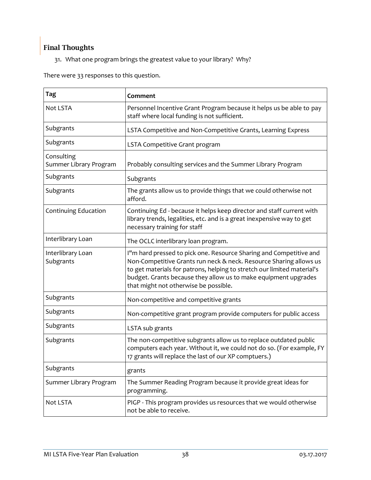# Final Thoughts

31. What one program brings the greatest value to your library? Why?

There were 33 responses to this question.

| <b>Tag</b>                           | Comment                                                                                                                                                                                                                                                                                                                         |
|--------------------------------------|---------------------------------------------------------------------------------------------------------------------------------------------------------------------------------------------------------------------------------------------------------------------------------------------------------------------------------|
| Not LSTA                             | Personnel Incentive Grant Program because it helps us be able to pay<br>staff where local funding is not sufficient.                                                                                                                                                                                                            |
| Subgrants                            | LSTA Competitive and Non-Competitive Grants, Learning Express                                                                                                                                                                                                                                                                   |
| Subgrants                            | LSTA Competitive Grant program                                                                                                                                                                                                                                                                                                  |
| Consulting<br>Summer Library Program | Probably consulting services and the Summer Library Program                                                                                                                                                                                                                                                                     |
| Subgrants                            | Subgrants                                                                                                                                                                                                                                                                                                                       |
| Subgrants                            | The grants allow us to provide things that we could otherwise not<br>afford.                                                                                                                                                                                                                                                    |
| Continuing Education                 | Continuing Ed - because it helps keep director and staff current with<br>library trends, legalities, etc. and is a great inexpensive way to get<br>necessary training for staff                                                                                                                                                 |
| Interlibrary Loan                    | The OCLC interlibrary loan program.                                                                                                                                                                                                                                                                                             |
| Interlibrary Loan<br>Subgrants       | I"m hard pressed to pick one. Resource Sharing and Competitive and<br>Non-Competitive Grants run neck & neck. Resource Sharing allows us<br>to get materials for patrons, helping to stretch our limited material's<br>budget. Grants because they allow us to make equipment upgrades<br>that might not otherwise be possible. |
| Subgrants                            | Non-competitive and competitive grants                                                                                                                                                                                                                                                                                          |
| Subgrants                            | Non-competitive grant program provide computers for public access                                                                                                                                                                                                                                                               |
| Subgrants                            | LSTA sub grants                                                                                                                                                                                                                                                                                                                 |
| Subgrants                            | The non-competitive subgrants allow us to replace outdated public<br>computers each year. Without it, we could not do so. (For example, FY<br>17 grants will replace the last of our XP comptuers.)                                                                                                                             |
| Subgrants                            | grants                                                                                                                                                                                                                                                                                                                          |
| Summer Library Program               | The Summer Reading Program because it provide great ideas for<br>programming.                                                                                                                                                                                                                                                   |
| Not LSTA                             | PIGP - This program provides us resources that we would otherwise<br>not be able to receive.                                                                                                                                                                                                                                    |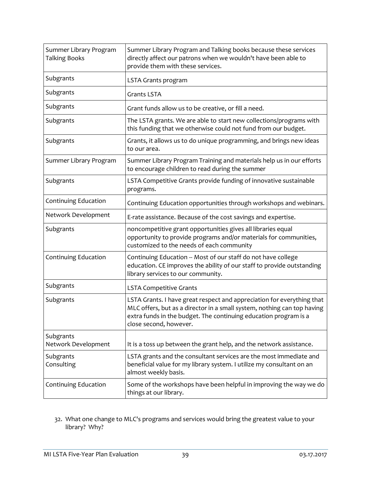| Summer Library Program<br><b>Talking Books</b> | Summer Library Program and Talking books because these services<br>directly affect our patrons when we wouldn't have been able to<br>provide them with these services.                                                                          |
|------------------------------------------------|-------------------------------------------------------------------------------------------------------------------------------------------------------------------------------------------------------------------------------------------------|
| Subgrants                                      | LSTA Grants program                                                                                                                                                                                                                             |
| Subgrants                                      | <b>Grants LSTA</b>                                                                                                                                                                                                                              |
| Subgrants                                      | Grant funds allow us to be creative, or fill a need.                                                                                                                                                                                            |
| Subgrants                                      | The LSTA grants. We are able to start new collections/programs with<br>this funding that we otherwise could not fund from our budget.                                                                                                           |
| Subgrants                                      | Grants, it allows us to do unique programming, and brings new ideas<br>to our area.                                                                                                                                                             |
| Summer Library Program                         | Summer Library Program Training and materials help us in our efforts<br>to encourage children to read during the summer                                                                                                                         |
| Subgrants                                      | LSTA Competitive Grants provide funding of innovative sustainable<br>programs.                                                                                                                                                                  |
| Continuing Education                           | Continuing Education opportunities through workshops and webinars.                                                                                                                                                                              |
| Network Development                            | E-rate assistance. Because of the cost savings and expertise.                                                                                                                                                                                   |
| Subgrants                                      | noncompetitive grant opportunities gives all libraries equal<br>opportunity to provide programs and/or materials for communities,<br>customized to the needs of each community                                                                  |
| Continuing Education                           | Continuing Education -- Most of our staff do not have college<br>education. CE improves the ability of our staff to provide outstanding<br>library services to our community.                                                                   |
| Subgrants                                      | <b>LSTA Competitive Grants</b>                                                                                                                                                                                                                  |
| Subgrants                                      | LSTA Grants. I have great respect and appreciation for everything that<br>MLC offers, but as a director in a small system, nothing can top having<br>extra funds in the budget. The continuing education program is a<br>close second, however. |
| Subgrants                                      |                                                                                                                                                                                                                                                 |
| Network Development                            | It is a toss up between the grant help, and the network assistance.                                                                                                                                                                             |
| Subgrants<br>Consulting                        | LSTA grants and the consultant services are the most immediate and<br>beneficial value for my library system. I utilize my consultant on an<br>almost weekly basis.                                                                             |
| Continuing Education                           | Some of the workshops have been helpful in improving the way we do<br>things at our library.                                                                                                                                                    |

32. What one change to MLC's programs and services would bring the greatest value to your library? Why?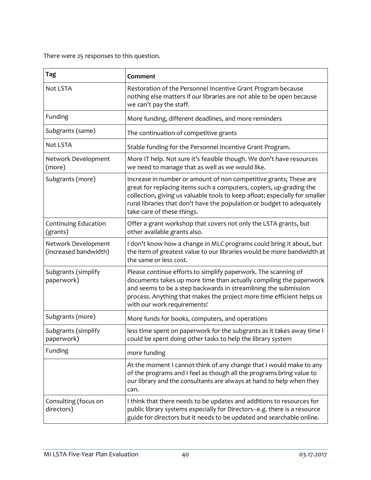There were 25 responses to this question.

| Tag                                          | Comment                                                                                                                                                                                                                                                                                                                         |
|----------------------------------------------|---------------------------------------------------------------------------------------------------------------------------------------------------------------------------------------------------------------------------------------------------------------------------------------------------------------------------------|
| Not LSTA                                     | Restoration of the Personnel Incentive Grant Program because<br>nothing else matters if our libraries are not able to be open because<br>we can't pay the staff.                                                                                                                                                                |
| Funding                                      | More funding, different deadlines, and more reminders                                                                                                                                                                                                                                                                           |
| Subgrants (same)                             | The continuation of competitive grants                                                                                                                                                                                                                                                                                          |
| Not LSTA                                     | Stable funding for the Personnel Incentive Grant Program.                                                                                                                                                                                                                                                                       |
| Network Development<br>(more)                | More IT help. Not sure it's feasible though. We don't have resources<br>we need to manage that as well as we would like.                                                                                                                                                                                                        |
| Subgrants (more)                             | Increase in number or amount of non competitive grants; These are<br>great for replacing items such a computers, copiers, up-grading the<br>collection, giving us valuable tools to keep afloat; especially for smaller<br>rural libraries that don't have the population or budget to adequately<br>take care of these things. |
| Continuing Education<br>(grants)             | Offer a grant workshop that covers not only the LSTA grants, but<br>other available grants also.                                                                                                                                                                                                                                |
| Network Development<br>(increased bandwidth) | I don't know how a change in MLC programs could bring it about, but<br>the item of greatest value to our libraries would be more bandwidth at<br>the same or less cost.                                                                                                                                                         |
| Subgrants (simplify<br>paperwork)            | Please continue efforts to simplify paperwork. The scanning of<br>documents takes up more time than actually compiling the paperwork<br>and seems to be a step backwards in streamlining the submission<br>process. Anything that makes the project more time efficient helps us<br>with our work requirements!                 |
| Subgrants (more)                             | More funds for books, computers, and operations                                                                                                                                                                                                                                                                                 |
| Subgrants (simplify<br>paperwork)            | less time spent on paperwork for the subgrants as it takes away time I<br>could be spent doing other tasks to help the library system                                                                                                                                                                                           |
| Funding                                      | more funding                                                                                                                                                                                                                                                                                                                    |
|                                              | At the moment I cannot think of any change that I would make to any<br>of the programs and I feel as though all the programs bring value to<br>our library and the consultants are always at hand to help when they<br>can.                                                                                                     |
| Consulting (focus on<br>directors)           | I think that there needs to be updates and additions to resources for<br>public library systems especially for Directors--e.g. there is a resource<br>guide for directors but it needs to be updated and searchable online.                                                                                                     |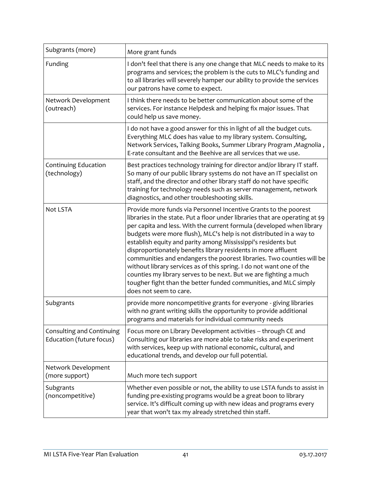| Subgrants (more)                                      | More grant funds                                                                                                                                                                                                                                                                                                                                                                                                                                                                                                                                                                                                                                                                                                                                         |
|-------------------------------------------------------|----------------------------------------------------------------------------------------------------------------------------------------------------------------------------------------------------------------------------------------------------------------------------------------------------------------------------------------------------------------------------------------------------------------------------------------------------------------------------------------------------------------------------------------------------------------------------------------------------------------------------------------------------------------------------------------------------------------------------------------------------------|
| Funding                                               | I don't feel that there is any one change that MLC needs to make to its<br>programs and services; the problem is the cuts to MLC's funding and<br>to all libraries will severely hamper our ability to provide the services<br>our patrons have come to expect.                                                                                                                                                                                                                                                                                                                                                                                                                                                                                          |
| Network Development<br>(outreach)                     | I think there needs to be better communication about some of the<br>services. For instance Helpdesk and helping fix major issues. That<br>could help us save money.                                                                                                                                                                                                                                                                                                                                                                                                                                                                                                                                                                                      |
|                                                       | I do not have a good answer for this in light of all the budget cuts.<br>Everything MLC does has value to my library system. Consulting,<br>Network Services, Talking Books, Summer Library Program, Magnolia,<br>E-rate consultant and the Beehive are all services that we use.                                                                                                                                                                                                                                                                                                                                                                                                                                                                        |
| Continuing Education<br>(technology)                  | Best practices technology training for director and/or library IT staff.<br>So many of our public library systems do not have an IT specialist on<br>staff, and the director and other library staff do not have specific<br>training for technology needs such as server management, network<br>diagnostics, and other troubleshooting skills.                                                                                                                                                                                                                                                                                                                                                                                                          |
| <b>Not LSTA</b>                                       | Provide more funds via Personnel Incentive Grants to the poorest<br>libraries in the state. Put a floor under libraries that are operating at \$9<br>per capita and less. With the current formula (developed when library<br>budgets were more flush), MLC's help is not distributed in a way to<br>establish equity and parity among Mississippi's residents but<br>disproportionately benefits library residents in more affluent<br>communities and endangers the poorest libraries. Two counties will be<br>without library services as of this spring. I do not want one of the<br>counties my library serves to be next. But we are fighting a much<br>tougher fight than the better funded communities, and MLC simply<br>does not seem to care. |
| Subgrants                                             | provide more noncompetitive grants for everyone - giving libraries<br>with no grant writing skills the opportunity to provide additional<br>programs and materials for individual community needs                                                                                                                                                                                                                                                                                                                                                                                                                                                                                                                                                        |
| Consulting and Continuing<br>Education (future focus) | Focus more on Library Development activities -- through CE and<br>Consulting our libraries are more able to take risks and experiment<br>with services, keep up with national economic, cultural, and<br>educational trends, and develop our full potential.                                                                                                                                                                                                                                                                                                                                                                                                                                                                                             |
| Network Development<br>(more support)                 | Much more tech support                                                                                                                                                                                                                                                                                                                                                                                                                                                                                                                                                                                                                                                                                                                                   |
| Subgrants<br>(noncompetitive)                         | Whether even possible or not, the ability to use LSTA funds to assist in<br>funding pre-existing programs would be a great boon to library<br>service. It's difficult coming up with new ideas and programs every<br>year that won't tax my already stretched thin staff.                                                                                                                                                                                                                                                                                                                                                                                                                                                                                |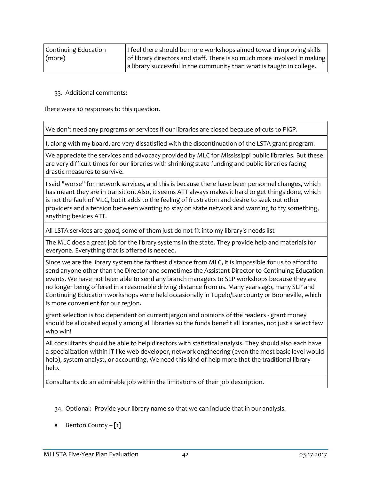| Continuing Education | If feel there should be more workshops aimed toward improving skills     |
|----------------------|--------------------------------------------------------------------------|
| (more)               | of library directors and staff. There is so much more involved in making |
|                      | a library successful in the community than what is taught in college.    |

#### 33. Additional comments:

There were 10 responses to this question.

We don't need any programs or services if our libraries are closed because of cuts to PIGP.

I, along with my board, are very dissatisfied with the discontinuation of the LSTA grant program.

We appreciate the services and advocacy provided by MLC for Mississippi public libraries. But these are very difficult times for our libraries with shrinking state funding and public libraries facing drastic measures to survive.

I said "worse" for network services, and this is because there have been personnel changes, which has meant they are in transition. Also, it seems ATT always makes it hard to get things done, which is not the fault of MLC, but it adds to the feeling of frustration and desire to seek out other providers and a tension between wanting to stay on state network and wanting to try something, anything besides ATT.

All LSTA services are good, some of them just do not fit into my library's needs list

The MLC does a great job for the library systems in the state. They provide help and materials for everyone. Everything that is offered is needed.

Since we are the library system the farthest distance from MLC, it is impossible for us to afford to send anyone other than the Director and sometimes the Assistant Director to Continuing Education events. We have not been able to send any branch managers to SLP workshops because they are no longer being offered in a reasonable driving distance from us. Many years ago, many SLP and Continuing Education workshops were held occasionally in Tupelo/Lee county or Booneville, which is more convenient for our region.

grant selection is too dependent on current jargon and opinions of the readers - grant money should be allocated equally among all libraries so the funds benefit all libraries, not just a select few who win!

All consultants should be able to help directors with statistical analysis. They should also each have a specialization within IT like web developer, network engineering (even the most basic level would help), system analyst, or accounting. We need this kind of help more that the traditional library help.

Consultants do an admirable job within the limitations of their job description.

34. Optional: Provide your library name so that we can include that in our analysis.

• Benton County  $-[1]$